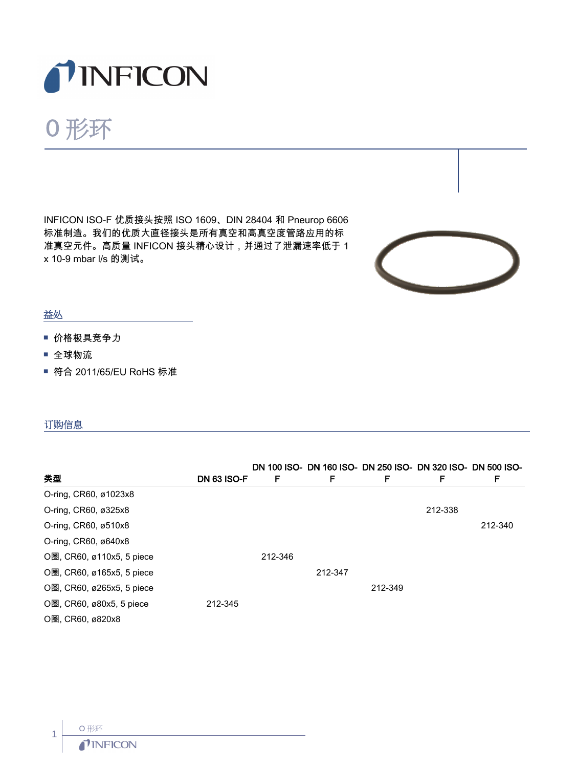

# O 形环

INFICON ISO-F 优质接头按照 ISO 1609、DIN 28404 和 Pneurop 6606 标准制造。我们的优质大直径接头是所有真空和高真空度管路应用的标 准真空元件。高质量 INFICON 接头精心设计,并通过了泄漏速率低于 1 x 10-9 mbar l/s 的测试。



### 益处

- 价格极具竞争力
- 全球物流
- 符合 2011/65/EU RoHS 标准

#### 订购信息

|                             |                    |         |         | DN 100 ISO- DN 160 ISO- DN 250 ISO- DN 320 ISO- DN 500 ISO- |         |         |
|-----------------------------|--------------------|---------|---------|-------------------------------------------------------------|---------|---------|
| 类型                          | <b>DN 63 ISO-F</b> | F       | F       | F                                                           | F       | F       |
| O-ring, CR60, ø1023x8       |                    |         |         |                                                             |         |         |
| O-ring, CR60, ø325x8        |                    |         |         |                                                             | 212-338 |         |
| O-ring, CR60, ø510x8        |                    |         |         |                                                             |         | 212-340 |
| O-ring, CR60, ø640x8        |                    |         |         |                                                             |         |         |
| O圈, CR60, ø110x5, 5 piece   |                    | 212-346 |         |                                                             |         |         |
| O圈, CR60, ø165x5, 5 piece   |                    |         | 212-347 |                                                             |         |         |
| O圈, CR60, ø265x5, 5 piece   |                    |         |         | 212-349                                                     |         |         |
| $O$ 圈, CR60, ø80x5, 5 piece | 212-345            |         |         |                                                             |         |         |
| O圈, CR60, ø820x8            |                    |         |         |                                                             |         |         |

1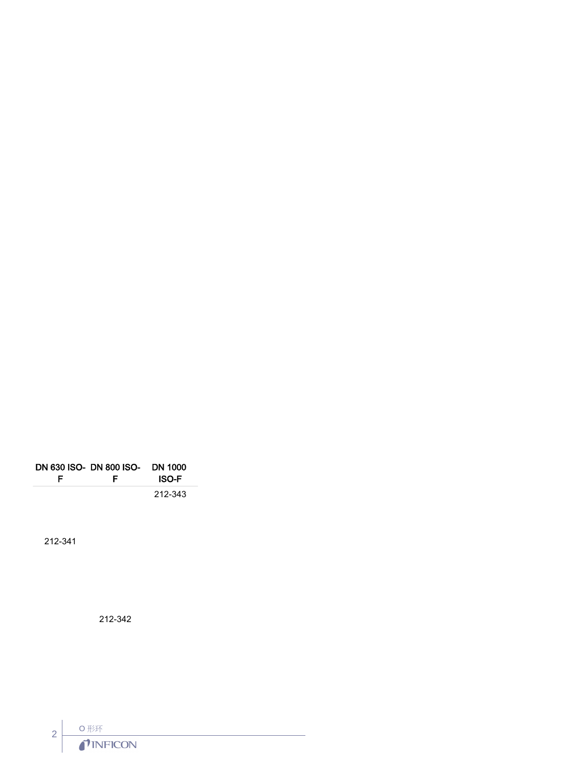| F | DN 630 ISO- DN 800 ISO-<br>E | DN 1000<br><b>ISO-F</b> |
|---|------------------------------|-------------------------|
|   |                              | 212-343                 |

212-341

212-342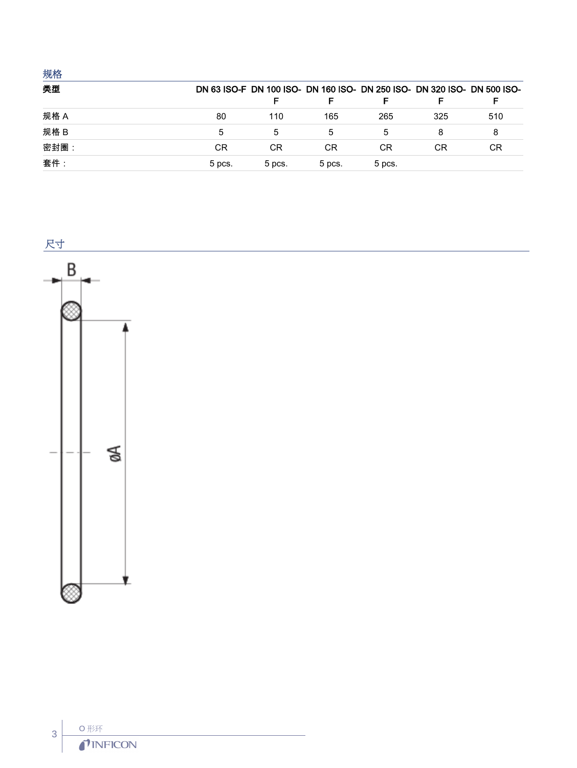## 规格

| 类型   |        |        |        |        |     | DN 63 ISO-F DN 100 ISO- DN 160 ISO- DN 250 ISO- DN 320 ISO- DN 500 ISO- |
|------|--------|--------|--------|--------|-----|-------------------------------------------------------------------------|
|      |        | F      |        |        |     |                                                                         |
| 规格 A | 80     | 110    | 165    | 265    | 325 | 510                                                                     |
| 规格 B | 5      |        | 5      |        |     | 8                                                                       |
| 密封圈: | CR     | СR     | СR     | СR     | СR  | СR                                                                      |
| 套件:  | 5 pcs. | 5 pcs. | 5 pcs. | 5 pcs. |     |                                                                         |